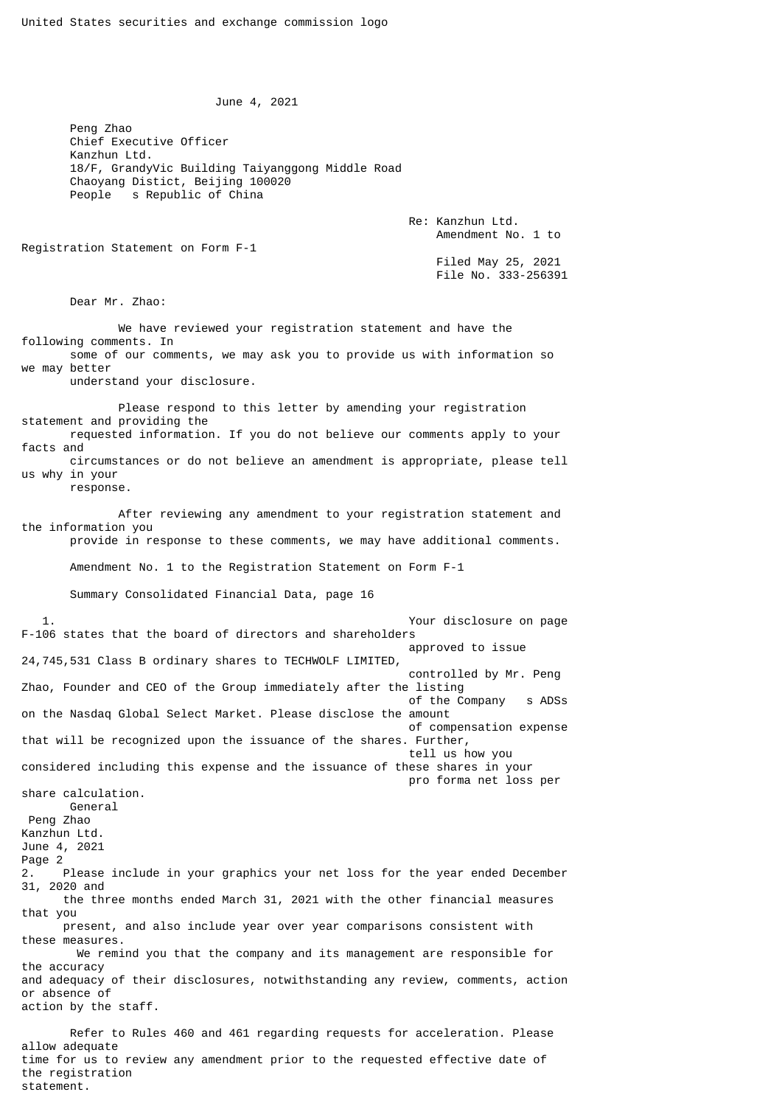June 4, 2021

 Peng Zhao Chief Executive Officer Kanzhun Ltd. 18/F, GrandyVic Building Taiyanggong Middle Road Chaoyang Distict, Beijing 100020 People s Republic of China

> Re: Kanzhun Ltd. Amendment No. 1 to

Registration Statement on Form F-1

 Filed May 25, 2021 File No. 333-256391

Dear Mr. Zhao:

statement.

 We have reviewed your registration statement and have the following comments. In some of our comments, we may ask you to provide us with information so we may better understand your disclosure. Please respond to this letter by amending your registration statement and providing the requested information. If you do not believe our comments apply to your facts and circumstances or do not believe an amendment is appropriate, please tell us why in your response. After reviewing any amendment to your registration statement and the information you provide in response to these comments, we may have additional comments. Amendment No. 1 to the Registration Statement on Form F-1 Summary Consolidated Financial Data, page 16 1. Your disclosure on page F-106 states that the board of directors and shareholders approved to issue 24,745,531 Class B ordinary shares to TECHWOLF LIMITED, controlled by Mr. Peng Zhao, Founder and CEO of the Group immediately after the listing of the Company s ADSs on the Nasdaq Global Select Market. Please disclose the amount of compensation expense that will be recognized upon the issuance of the shares. Further, tell us how you considered including this expense and the issuance of these shares in your pro forma net loss per share calculation. General Peng Zhao Kanzhun Ltd. June 4, 2021 Page 2 2. Please include in your graphics your net loss for the year ended December 31, 2020 and the three months ended March 31, 2021 with the other financial measures that you present, and also include year over year comparisons consistent with these measures. We remind you that the company and its management are responsible for the accuracy and adequacy of their disclosures, notwithstanding any review, comments, action or absence of action by the staff. Refer to Rules 460 and 461 regarding requests for acceleration. Please allow adequate time for us to review any amendment prior to the requested effective date of the registration